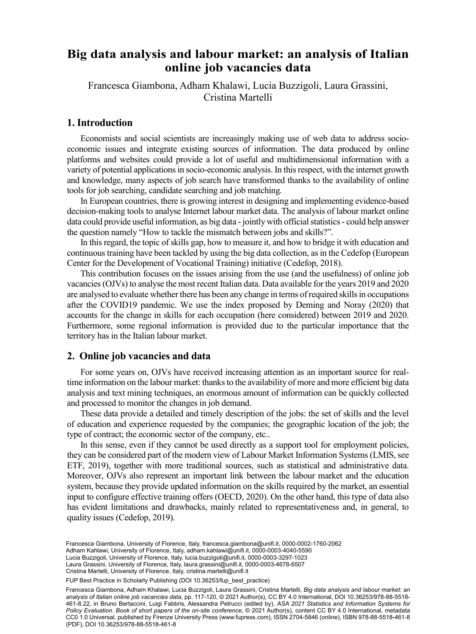# Big data analysis and labour market: an analysis of Italian online job vacancies data

Francesca Giambona, Adham Khalawi, Lucia Buzzigoli, Laura Grassini, Cristina Martelli

## 1. Introduction

Economists and social scientists are increasingly making use of web data to address socioeconomic issues and integrate existing sources of information. The data produced by online platforms and websites could provide a lot of useful and multidimensional information with a variety of potential applications in socio-economic analysis. In this respect, with the internet growth and knowledge, many aspects of job search have transformed thanks to the availability of online tools for job searching, candidate searching and job matching.

In European countries, there is growing interest in designing and implementing evidence-based decision-making tools to analyse Internet labour market data. The analysis of labour market online data could provide useful information, as big data - jointly with official statistics - could help answer the question namely "How to tackle the mismatch between jobs and skills?".

In this regard, the topic of skills gap, how to measure it, and how to bridge it with education and continuous training have been tackled by using the big data collection, as in the Cedefop (European Center for the Development of Vocational Training) initiative (Cedefop, 2018).

This contribution focuses on the issues arising from the use (and the usefulness) of online job vacancies (OJVs) to analyse the most recent Italian data. Data available for the years 2019 and 2020 are analysed to evaluate whether there has been any change in terms of required skills in occupations after the COVID19 pandemic. We use the index proposed by Deming and Noray (2020) that accounts for the change in skills for each occupation (here considered) between 2019 and 2020. Furthermore, some regional information is provided due to the particular importance that the territory has in the Italian labour market.

## 2. Online job vacancies and data

For some years on, OJVs have received increasing attention as an important source for realtime information on the labour market: thanks to the availability of more and more efficient big data analysis and text mining techniques, an enormous amount of information can be quickly collected and processed to monitor the changes in job demand.

These data provide a detailed and timely description of the jobs: the set of skills and the level of education and experience requested by the companies; the geographic location of the job; the type of contract; the economic sector of the company, etc..

In this sense, even if they cannot be used directly as a support tool for employment policies, they can be considered part of the modern view of Labour Market Information Systems (LMIS, see ETF, 2019), together with more traditional sources, such as statistical and administrative data. Moreover, OJVs also represent an important link between the labour market and the education system, because they provide updated information on the skills required by the market, an essential input to configure effective training offers (OECD, 2020). On the other hand, this type of data also has evident limitations and drawbacks, mainly related to representativeness and, in general, to quality issues (Cedefop, 2019).

Laura Grassini, University of Florence, Italy, [laura.grassini@unifi.it,](mailto:laura.grassini@unifi.it) [0000-0003-4678-6507](https://orcid.org/0000-0003-4678-6507) Francesca Giambona, University of Florence, Italy, [francesca.giambona@unifi.it,](mailto:francesca.giambona@unifi.it) [0000-0002-1760-2062](https://orcid.org/0000-0002-1760-2062) Adham Kahlawi, University of Florence, Italy, [adham.kahlawi@unifi.it,](mailto:adham.kahlawi@unifi.it) [0000-0003-4040-5590](https://orcid.org/0000-0003-4040-5590) Lucia Buzzigoli, University of Florence, Italy, [lucia.buzzigoli@unifi.it,](mailto:lucia.buzzigoli@unifi.it) [0000-0003-3297-1023](https://orcid.org/0000-0003-3297-1023) Cristina Martelli, University of Florence, Italy, [cristina.martelli@unifi.it](mailto:cristina.martelli@unifi.it)

Francesca Giambona, Adham Khalawi, Lucia Buzzigoli, Laura Grassini, Cristina Martelli, *Big data analysis and labour market: an analysis of Italian online job vacancies data*, pp. 117-120, © 2021 Author(s), [CC BY 4.0 International,](http://creativecommons.org/licenses/by/4.0/legalcode) DOI [10.36253/978-88-5518-](https://doi.org/10.36253/978-88-5518-461-8.22) [461-8.22](https://doi.org/10.36253/978-88-5518-461-8.22), in Bruno Bertaccini, Luigi Fabbris, Alessandra Petrucci (edited by), *ASA 2021 Statistics and Information Systems for Policy Evaluation. Book of short papers of the on-site conference*, © 2021 Author(s), content [CC BY 4.0 International,](http://creativecommons.org/licenses/by/4.0/legalcode) metadata [CC0 1.0 Universal,](https://creativecommons.org/publicdomain/zero/1.0/legalcode) published by Firenze University Press ([www.fupress.com\)](http://www.fupress.com), ISSN 2704-5846 (online), ISBN 978-88-5518-461-8 (PDF), DOI [10.36253/978-88-5518-461-8](https://doi.org/10.36253/978-88-5518-461-8)

FUP Best Practice in Scholarly Publishing (DOI 10.36253/fup best practice)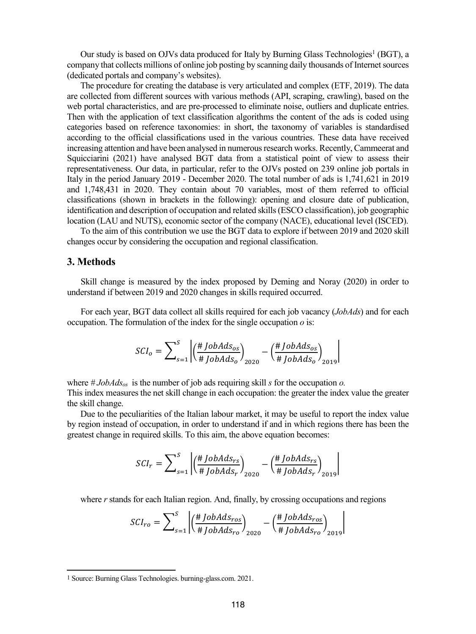Our study is based on OJVs data produced for Italy by Burning Glass Technologies<sup>1</sup> (BGT), a company that collects millions of online job posting by scanning daily thousands of Internet sources (dedicated portals and company's websites).

The procedure for creating the database is very articulated and complex (ETF, 2019). The data are collected from different sources with various methods (API, scraping, crawling), based on the web portal characteristics, and are pre-processed to eliminate noise, outliers and duplicate entries. Then with the application of text classification algorithms the content of the ads is coded using categories based on reference taxonomies: in short, the taxonomy of variables is standardised according to the official classifications used in the various countries. These data have received increasing attention and have been analysed in numerous research works. Recently, Cammeerat and Squicciarini (2021) have analysed BGT data from a statistical point of view to assess their representativeness. Our data, in particular, refer to the OJVs posted on 239 online job portals in Italy in the period January 2019 - December 2020. The total number of ads is 1,741,621 in 2019 and 1,748,431 in 2020. They contain about 70 variables, most of them referred to official classifications (shown in brackets in the following): opening and closure date of publication, identification and description of occupation and related skills (ESCO classification), job geographic location (LAU and NUTS), economic sector of the company (NACE), educational level (ISCED).

To the aim of this contribution we use the BGT data to explore if between 2019 and 2020 skill changes occur by considering the occupation and regional classification.

## 3. Methods

 $\ddot{ }$ 

Skill change is measured by the index proposed by Deming and Noray (2020) in order to understand if between 2019 and 2020 changes in skills required occurred.

For each year, BGT data collect all skills required for each job vacancy (*JobAds*) and for each occupation. The formulation of the index for the single occupation  $o$  is:

$$
SCI_o = \sum_{s=1}^{S} \left| \left( \frac{\# JobAds_{os}}{\# JobAds_o} \right)_{2020} - \left( \frac{\#JobAds_{os}}{\# JobAds_o} \right)_{2019} \right|
$$

where  $\#JobAds_{os}$  is the number of job ads requiring skill s for the occupation o. This index measures the net skill change in each occupation: the greater the index value the greater the skill change.

Due to the peculiarities of the Italian labour market, it may be useful to report the index value by region instead of occupation, in order to understand if and in which regions there has been the greatest change in required skills. To this aim, the above equation becomes:

$$
SCI_r = \sum_{s=1}^{S} \left| \left( \frac{\#JobAds_{rs}}{\# JobAds_r} \right)_{2020} - \left( \frac{\#JobAds_{rs}}{\# JobAds_r} \right)_{2019} \right|
$$

where  $r$  stands for each Italian region. And, finally, by crossing occupations and regions

$$
SCI_{ro} = \sum_{s=1}^{S} \left| \left( \frac{\# JobAds_{ros}}{\# JobAds_{ro}} \right)_{2020} - \left( \frac{\#JobAds_{ros}}{\# JobAds_{ro}} \right)_{2019} \right|
$$

�

<sup>1</sup> Source: Burning Glass Technologies. burning-glass.com. 2021.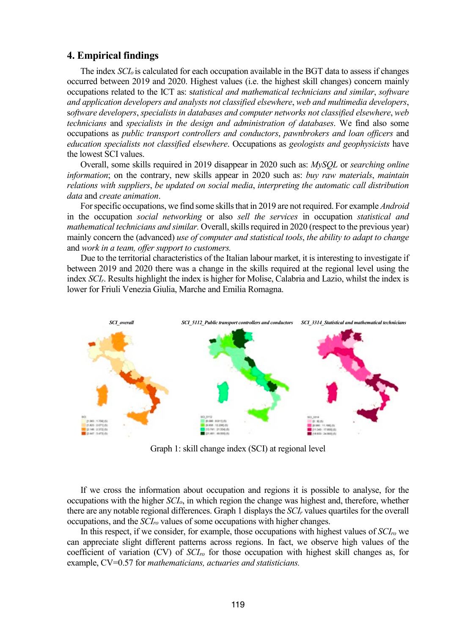## 4. Empirical findings

The index  $SCI<sub>o</sub>$  is calculated for each occupation available in the BGT data to assess if changes occurred between 2019 and 2020. Highest values (i.e. the highest skill changes) concern mainly occupations related to the ICT as: statistical and mathematical technicians and similar, software and application developers and analysts not classified elsewhere, web and multimedia developers, software developers, specialists in databases and computer networks not classified elsewhere, web technicians and specialists in the design and administration of databases. We find also some occupations as public transport controllers and conductors, pawnbrokers and loan officers and education specialists not classified elsewhere. Occupations as geologists and geophysicists have the lowest SCI values.

Overall, some skills required in 2019 disappear in 2020 such as: MySQL or searching online information; on the contrary, new skills appear in 2020 such as: buy raw materials, maintain relations with suppliers, be updated on social media, interpreting the automatic call distribution data and create animation.

For specific occupations, we find some skills that in 2019 are not required. For example *Android* in the occupation social networking or also sell the services in occupation statistical and mathematical technicians and similar. Overall, skills required in 2020 (respect to the previous year) mainly concern the (advanced) use of computer and statistical tools, the ability to adapt to change and work in a team, offer support to customers.

Due to the territorial characteristics of the Italian labour market, it is interesting to investigate if between 2019 and 2020 there was a change in the skills required at the regional level using the index SCIr. Results highlight the index is higher for Molise, Calabria and Lazio, whilst the index is lower for Friuli Venezia Giulia, Marche and Emilia Romagna.



Graph 1: skill change index (SCI) at regional level

If we cross the information about occupation and regions it is possible to analyse, for the occupations with the higher  $\mathcal{S}Cl_o$ , in which region the change was highest and, therefore, whether there are any notable regional differences. Graph 1 displays the SCI<sub>r</sub> values quartiles for the overall occupations, and the  $\mathcal{S}Cl_{ro}$  values of some occupations with higher changes.

In this respect, if we consider, for example, those occupations with highest values of  $\mathcal{S}Cl_{ro}$  we can appreciate slight different patterns across regions. In fact, we observe high values of the coefficient of variation (CV) of  $SCI_{ro}$  for those occupation with highest skill changes as, for example, CV=0.57 for *mathematicians*, *actuaries and statisticians*.